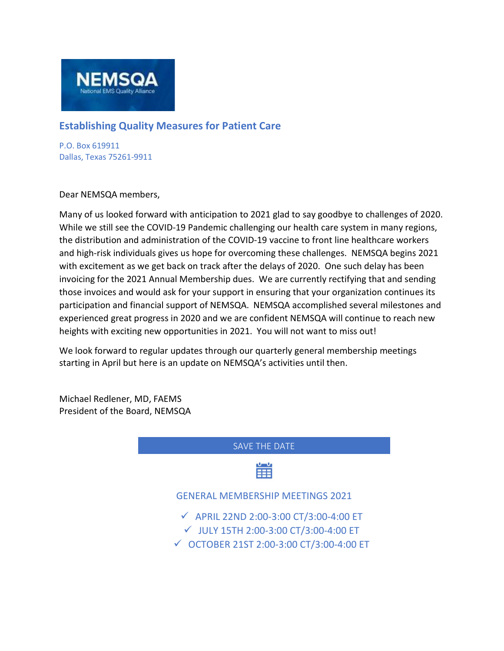

## Establishing Quality Measures for Patient Care

P.O. Box 619911 Dallas, Texas 75261-9911

 $\overline{\phantom{a}}$ 

Dear NEMSQA members,

Many of us looked forward with anticipation to 2021 glad to say goodbye to challenges of 2020. While we still see the COVID-19 Pandemic challenging our health care system in many regions, the distribution and administration of the COVID-19 vaccine to front line healthcare workers and high-risk individuals gives us hope for overcoming these challenges. NEMSQA begins 2021 with excitement as we get back on track after the delays of 2020. One such delay has been invoicing for the 2021 Annual Membership dues. We are currently rectifying that and sending those invoices and would ask for your support in ensuring that your organization continues its participation and financial support of NEMSQA. NEMSQA accomplished several milestones and experienced great progress in 2020 and we are confident NEMSQA will continue to reach new heights with exciting new opportunities in 2021. You will not want to miss out!

We look forward to regular updates through our quarterly general membership meetings starting in April but here is an update on NEMSQA's activities until then.

Michael Redlener, MD, FAEMS President of the Board, NEMSQA

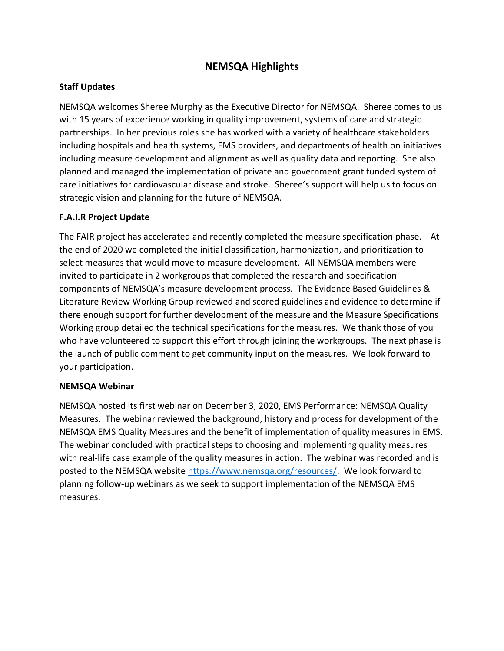# NEMSQA Highlights

## Staff Updates

NEMSQA welcomes Sheree Murphy as the Executive Director for NEMSQA. Sheree comes to us with 15 years of experience working in quality improvement, systems of care and strategic partnerships. In her previous roles she has worked with a variety of healthcare stakeholders including hospitals and health systems, EMS providers, and departments of health on initiatives including measure development and alignment as well as quality data and reporting. She also planned and managed the implementation of private and government grant funded system of care initiatives for cardiovascular disease and stroke. Sheree's support will help us to focus on strategic vision and planning for the future of NEMSQA.

#### F.A.I.R Project Update

The FAIR project has accelerated and recently completed the measure specification phase. At the end of 2020 we completed the initial classification, harmonization, and prioritization to select measures that would move to measure development. All NEMSQA members were invited to participate in 2 workgroups that completed the research and specification components of NEMSQA's measure development process. The Evidence Based Guidelines & Literature Review Working Group reviewed and scored guidelines and evidence to determine if there enough support for further development of the measure and the Measure Specifications Working group detailed the technical specifications for the measures. We thank those of you who have volunteered to support this effort through joining the workgroups. The next phase is the launch of public comment to get community input on the measures. We look forward to your participation.

#### NEMSQA Webinar

NEMSQA hosted its first webinar on December 3, 2020, EMS Performance: NEMSQA Quality Measures. The webinar reviewed the background, history and process for development of the NEMSQA EMS Quality Measures and the benefit of implementation of quality measures in EMS. The webinar concluded with practical steps to choosing and implementing quality measures with real-life case example of the quality measures in action. The webinar was recorded and is posted to the NEMSQA website https://www.nemsqa.org/resources/. We look forward to planning follow-up webinars as we seek to support implementation of the NEMSQA EMS measures.